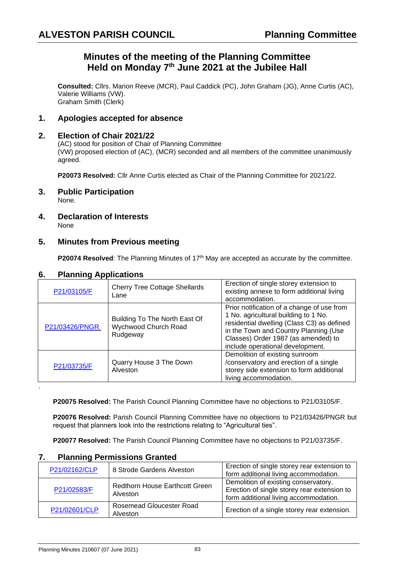# **Minutes of the meeting of the Planning Committee Held on Monday 7 th June 2021 at the Jubilee Hall**

**Consulted:** Cllrs. Marion Reeve (MCR), Paul Caddick (PC), John Graham (JG), Anne Curtis (AC), Valerie Williams (VW). Graham Smith (Clerk)

## **1. Apologies accepted for absence**

#### **2. Election of Chair 2021/22**

(AC) stood for position of Chair of Planning Committee (VW) proposed election of (AC), (MCR) seconded and all members of the committee unanimously agreed.

**P20073 Resolved:** Cllr Anne Curtis elected as Chair of the Planning Committee for 2021/22.

- **3. Public Participation** None.
- **4. Declaration of Interests** None

#### **5. Minutes from Previous meeting**

**P20074 Resolved:** The Planning Minutes of 17<sup>th</sup> May are accepted as accurate by the committee.

#### **6. Planning Applications**

| P21/03105/F    | <b>Cherry Tree Cottage Shellards</b><br>Lane                      | Erection of single storey extension to<br>existing annexe to form additional living<br>accommodation.                                                                                                                                                |
|----------------|-------------------------------------------------------------------|------------------------------------------------------------------------------------------------------------------------------------------------------------------------------------------------------------------------------------------------------|
| P21/03426/PNGR | Building To The North East Of<br>Wychwood Church Road<br>Rudgeway | Prior notification of a change of use from<br>1 No. agricultural building to 1 No.<br>residential dwelling (Class C3) as defined<br>in the Town and Country Planning (Use<br>Classes) Order 1987 (as amended) to<br>include operational development. |
| P21/03735/F    | Quarry House 3 The Down<br>Alveston                               | Demolition of existing sunroom<br>/conservatory and erection of a single<br>storey side extension to form additional<br>living accommodation.                                                                                                        |
|                |                                                                   |                                                                                                                                                                                                                                                      |

**P20075 Resolved:** The Parish Council Planning Committee have no objections to P21/03105/F.

**P20076 Resolved:** Parish Council Planning Committee have no objections to P21/03426/PNGR but request that planners look into the restrictions relating to "Agricultural ties".

**P20077 Resolved:** The Parish Council Planning Committee have no objections to P21/03735/F.

| .             |                                                   |                                                                                                                              |  |
|---------------|---------------------------------------------------|------------------------------------------------------------------------------------------------------------------------------|--|
| P21/02162/CLP | 8 Strode Gardens Alveston                         | Erection of single storey rear extension to<br>form additional living accommodation.                                         |  |
| P21/02583/F   | <b>Redthorn House Earthcott Green</b><br>Alveston | Demolition of existing conservatory.<br>Erection of single storey rear extension to<br>form additional living accommodation. |  |
| P21/02601/CLP | <b>Rosemead Gloucester Road</b><br>Alveston       | Erection of a single storey rear extension.                                                                                  |  |

#### **7. Planning Permissions Granted**